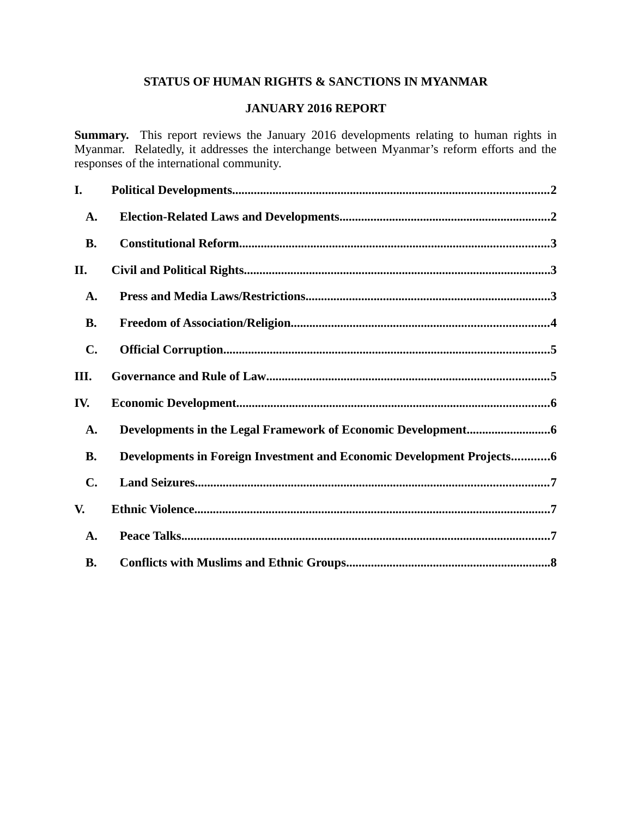# **STATUS OF HUMAN RIGHTS & SANCTIONS IN MYANMAR**

# **JANUARY 2016 REPORT**

**Summary.** This report reviews the January 2016 developments relating to human rights in Myanmar. Relatedly, it addresses the interchange between Myanmar's reform efforts and the responses of the international community.

| I.             |                                                                       |
|----------------|-----------------------------------------------------------------------|
| A.             |                                                                       |
| <b>B.</b>      |                                                                       |
| II.            |                                                                       |
| A.             |                                                                       |
| <b>B.</b>      |                                                                       |
| $\mathbf{C}$ . |                                                                       |
| III.           |                                                                       |
| IV.            |                                                                       |
| A.             |                                                                       |
| <b>B.</b>      | Developments in Foreign Investment and Economic Development Projects6 |
| $\mathbf{C}$ . |                                                                       |
| V.             |                                                                       |
| A.             |                                                                       |
| <b>B.</b>      |                                                                       |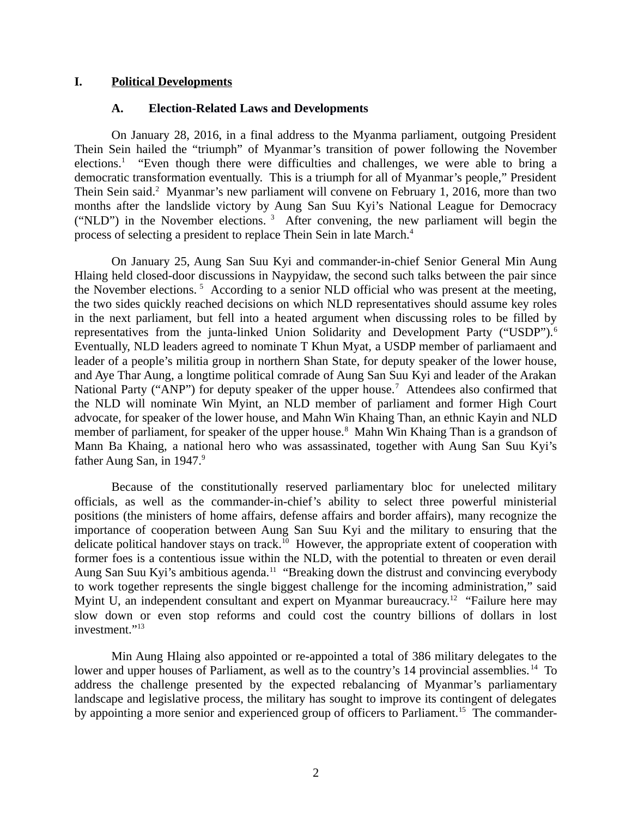#### **I. Political Developments**

#### <span id="page-1-1"></span><span id="page-1-0"></span>**A. Election-Related Laws and Developments**

On January 28, 2016, in a final address to the Myanma parliament, outgoing President Thein Sein hailed the "triumph" of Myanmar's transition of power following the November elections.<sup>1</sup> "Even though there were difficulties and challenges, we were able to bring a democratic transformation eventually. This is a triumph for all of Myanmar's people," President Thein Sein said.<sup>2</sup> Myanmar's new parliament will convene on February 1, 2016, more than two months after the landslide victory by Aung San Suu Kyi's National League for Democracy ("NLD") in the November elections.  $3$  After convening, the new parliament will begin the process of selecting a president to replace Thein Sein in late March.<sup>4</sup>

On January 25, Aung San Suu Kyi and commander-in-chief Senior General Min Aung Hlaing held closed-door discussions in Naypyidaw, the second such talks between the pair since the November elections.<sup>5</sup> According to a senior NLD official who was present at the meeting, the two sides quickly reached decisions on which NLD representatives should assume key roles in the next parliament, but fell into a heated argument when discussing roles to be filled by representatives from the junta-linked Union Solidarity and Development Party ("USDP").<sup>6</sup> Eventually, NLD leaders agreed to nominate T Khun Myat, a USDP member of parliamaent and leader of a people's militia group in northern Shan State, for deputy speaker of the lower house, and Aye Thar Aung, a longtime political comrade of Aung San Suu Kyi and leader of the Arakan National Party ("ANP") for deputy speaker of the upper house.<sup>7</sup> Attendees also confirmed that the NLD will nominate Win Myint, an NLD member of parliament and former High Court advocate, for speaker of the lower house, and Mahn Win Khaing Than, an ethnic Kayin and NLD member of parliament, for speaker of the upper house.<sup>8</sup> Mahn Win Khaing Than is a grandson of Mann Ba Khaing, a national hero who was assassinated, together with Aung San Suu Kyi's father Aung San, in 1947.<sup>9</sup>

Because of the constitutionally reserved parliamentary bloc for unelected military officials, as well as the commander-in-chief's ability to select three powerful ministerial positions (the ministers of home affairs, defense affairs and border affairs), many recognize the importance of cooperation between Aung San Suu Kyi and the military to ensuring that the delicate political handover stays on track.<sup>10</sup> However, the appropriate extent of cooperation with former foes is a contentious issue within the NLD, with the potential to threaten or even derail Aung San Suu Kyi's ambitious agenda.<sup>11</sup> "Breaking down the distrust and convincing everybody to work together represents the single biggest challenge for the incoming administration," said Myint U, an independent consultant and expert on Myanmar bureaucracy.<sup>12</sup> "Failure here may slow down or even stop reforms and could cost the country billions of dollars in lost investment."<sup>13</sup>

Min Aung Hlaing also appointed or re-appointed a total of 386 military delegates to the lower and upper houses of Parliament, as well as to the country's 14 provincial assemblies.<sup>14</sup> To address the challenge presented by the expected rebalancing of Myanmar's parliamentary landscape and legislative process, the military has sought to improve its contingent of delegates by appointing a more senior and experienced group of officers to Parliament.<sup>15</sup> The commander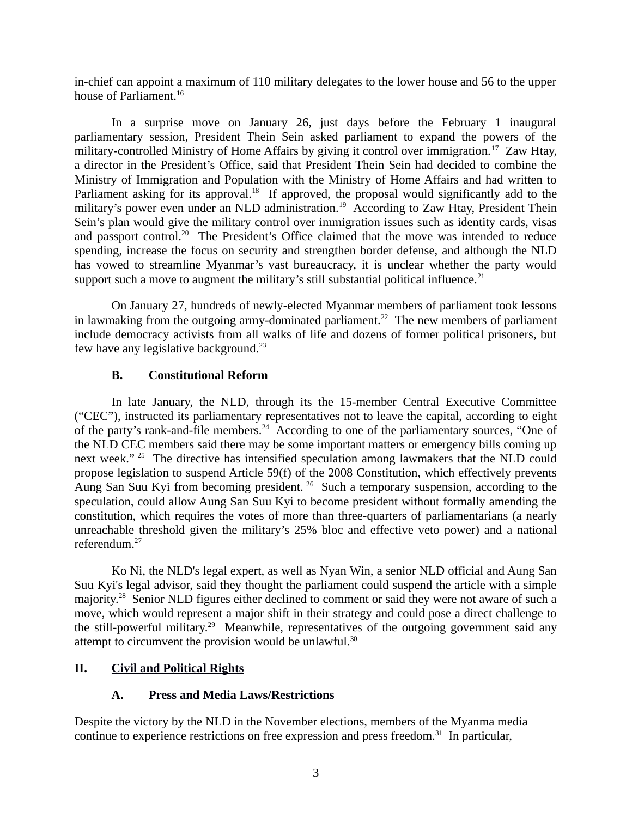in-chief can appoint a maximum of 110 military delegates to the lower house and 56 to the upper house of Parliament.<sup>16</sup>

In a surprise move on January 26, just days before the February 1 inaugural parliamentary session, President Thein Sein asked parliament to expand the powers of the military-controlled Ministry of Home Affairs by giving it control over immigration.<sup>17</sup> Zaw Htay, a director in the President's Office, said that President Thein Sein had decided to combine the Ministry of Immigration and Population with the Ministry of Home Affairs and had written to Parliament asking for its approval.<sup>18</sup> If approved, the proposal would significantly add to the military's power even under an NLD administration.<sup>19</sup> According to Zaw Htay, President Thein Sein's plan would give the military control over immigration issues such as identity cards, visas and passport control.<sup>20</sup> The President's Office claimed that the move was intended to reduce spending, increase the focus on security and strengthen border defense, and although the NLD has vowed to streamline Myanmar's vast bureaucracy, it is unclear whether the party would support such a move to augment the military's still substantial political influence.<sup>21</sup>

On January 27, hundreds of newly-elected Myanmar members of parliament took lessons in lawmaking from the outgoing army-dominated parliament.<sup>22</sup> The new members of parliament include democracy activists from all walks of life and dozens of former political prisoners, but few have any legislative background.<sup>23</sup>

### <span id="page-2-2"></span>**B. Constitutional Reform**

In late January, the NLD, through its the 15-member Central Executive Committee ("CEC"), instructed its parliamentary representatives not to leave the capital, according to eight of the party's rank-and-file members.<sup>24</sup> According to one of the parliamentary sources, "One of the NLD CEC members said there may be some important matters or emergency bills coming up next week." <sup>25</sup> The directive has intensified speculation among lawmakers that the NLD could propose legislation to suspend Article 59(f) of the 2008 Constitution, which effectively prevents Aung San Suu Kyi from becoming president. <sup>26</sup> Such a temporary suspension, according to the speculation, could allow Aung San Suu Kyi to become president without formally amending the constitution, which requires the votes of more than three-quarters of parliamentarians (a nearly unreachable threshold given the military's 25% bloc and effective veto power) and a national referendum.<sup>27</sup>

Ko Ni, the NLD's legal expert, as well as Nyan Win, a senior NLD official and Aung San Suu Kyi's legal advisor, said they thought the parliament could suspend the article with a simple majority.<sup>28</sup> Senior NLD figures either declined to comment or said they were not aware of such a move, which would represent a major shift in their strategy and could pose a direct challenge to the still-powerful military.<sup>29</sup> Meanwhile, representatives of the outgoing government said any attempt to circumvent the provision would be unlawful.<sup>30</sup>

# **II. Civil and Political Rights**

# <span id="page-2-1"></span><span id="page-2-0"></span>**A. Press and Media Laws/Restrictions**

Despite the victory by the NLD in the November elections, members of the Myanma media continue to experience restrictions on free expression and press freedom.<sup>31</sup> In particular,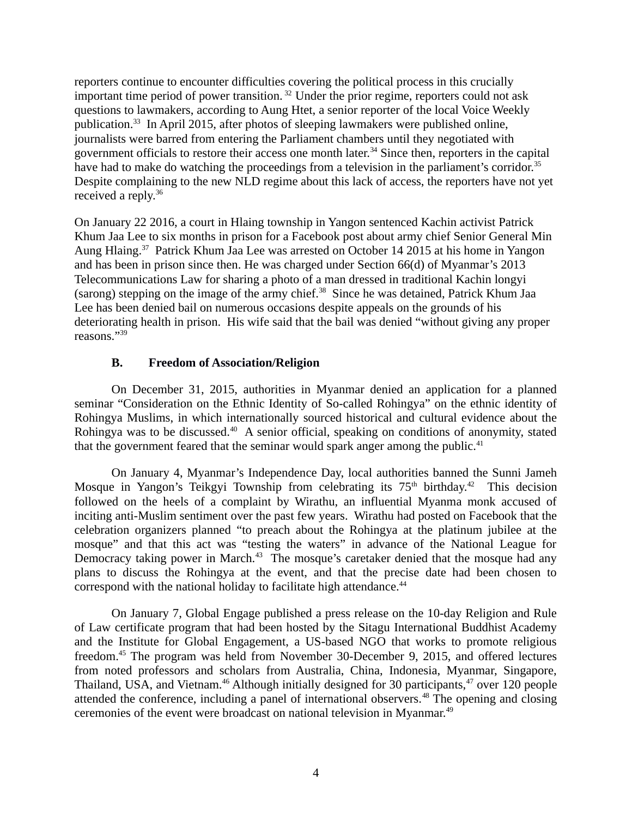reporters continue to encounter difficulties covering the political process in this crucially important time period of power transition.<sup>32</sup> Under the prior regime, reporters could not ask questions to lawmakers, according to Aung Htet, a senior reporter of the local Voice Weekly publication.<sup>33</sup> In April 2015, after photos of sleeping lawmakers were published online, journalists were barred from entering the Parliament chambers until they negotiated with government officials to restore their access one month later.<sup>34</sup> Since then, reporters in the capital have had to make do watching the proceedings from a television in the parliament's corridor.<sup>35</sup> Despite complaining to the new NLD regime about this lack of access, the reporters have not yet received a reply.<sup>36</sup>

On January 22 2016, a court in Hlaing township in Yangon sentenced Kachin activist Patrick Khum Jaa Lee to six months in prison for a Facebook post about army chief Senior General Min Aung Hlaing.<sup>37</sup> Patrick Khum Jaa Lee was arrested on October 14 2015 at his home in Yangon and has been in prison since then. He was charged under Section 66(d) of Myanmar's 2013 Telecommunications Law for sharing a photo of a man dressed in traditional Kachin longyi (sarong) stepping on the image of the army chief.<sup>38</sup> Since he was detained, Patrick Khum Jaa Lee has been denied bail on numerous occasions despite appeals on the grounds of his deteriorating health in prison. His wife said that the bail was denied "without giving any proper reasons."<sup>39</sup>

### <span id="page-3-0"></span>**B. Freedom of Association/Religion**

On December 31, 2015, authorities in Myanmar denied an application for a planned seminar "Consideration on the Ethnic Identity of So-called Rohingya" on the ethnic identity of Rohingya Muslims, in which internationally sourced historical and cultural evidence about the Rohingya was to be discussed.<sup>40</sup> A senior official, speaking on conditions of anonymity, stated that the government feared that the seminar would spark anger among the public. $41$ 

On January 4, Myanmar's Independence Day, local authorities banned the Sunni Jameh Mosque in Yangon's Teikgyi Township from celebrating its  $75<sup>th</sup>$  birthday.<sup>42</sup> This decision followed on the heels of a complaint by Wirathu, an influential Myanma monk accused of inciting anti-Muslim sentiment over the past few years. Wirathu had posted on Facebook that the celebration organizers planned "to preach about the Rohingya at the platinum jubilee at the mosque" and that this act was "testing the waters" in advance of the National League for Democracy taking power in March.<sup>43</sup> The mosque's caretaker denied that the mosque had any plans to discuss the Rohingya at the event, and that the precise date had been chosen to correspond with the national holiday to facilitate high attendance.<sup>44</sup>

On January 7, Global Engage published a press release on the 10-day Religion and Rule of Law certificate program that had been hosted by the Sitagu International Buddhist Academy and the Institute for Global Engagement, a US-based NGO that works to promote religious freedom.<sup>45</sup> The program was held from November 30-December 9, 2015, and offered lectures from noted professors and scholars from Australia, China, Indonesia, Myanmar, Singapore, Thailand, USA, and Vietnam.<sup>46</sup> Although initially designed for 30 participants,<sup>47</sup> over 120 people attended the conference, including a panel of international observers.<sup>48</sup> The opening and closing ceremonies of the event were broadcast on national television in Myanmar.<sup>49</sup>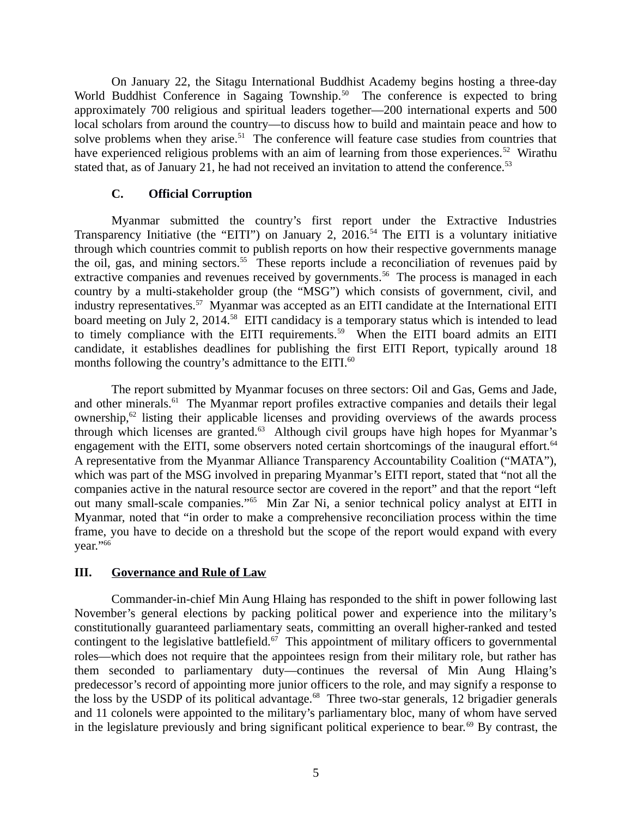On January 22, the Sitagu International Buddhist Academy begins hosting a three-day World Buddhist Conference in Sagaing Township.<sup>50</sup> The conference is expected to bring approximately 700 religious and spiritual leaders together—200 international experts and 500 local scholars from around the country—to discuss how to build and maintain peace and how to solve problems when they arise.<sup>51</sup> The conference will feature case studies from countries that have experienced religious problems with an aim of learning from those experiences.<sup>52</sup> Wirathu stated that, as of January 21, he had not received an invitation to attend the conference.<sup>53</sup>

### <span id="page-4-1"></span>**C. Official Corruption**

Myanmar submitted the country's first report under the Extractive Industries Transparency Initiative (the "EITI") on January 2, 2016.<sup>54</sup> The EITI is a voluntary initiative through which countries commit to publish reports on how their respective governments manage the oil, gas, and mining sectors.<sup>55</sup> These reports include a reconciliation of revenues paid by extractive companies and revenues received by governments.<sup>56</sup> The process is managed in each country by a multi-stakeholder group (the "MSG") which consists of government, civil, and industry representatives.<sup>57</sup> Myanmar was accepted as an EITI candidate at the International EITI board meeting on July 2, 2014.<sup>58</sup> EITI candidacy is a temporary status which is intended to lead to timely compliance with the EITI requirements.<sup>59</sup> When the EITI board admits an EITI candidate, it establishes deadlines for publishing the first EITI Report, typically around 18 months following the country's admittance to the EITI.<sup>60</sup>

The report submitted by Myanmar focuses on three sectors: Oil and Gas, Gems and Jade, and other minerals. $61$  The Myanmar report profiles extractive companies and details their legal ownership, $62$  listing their applicable licenses and providing overviews of the awards process through which licenses are granted. $63$  Although civil groups have high hopes for Myanmar's engagement with the EITI, some observers noted certain shortcomings of the inaugural effort.<sup>64</sup> A representative from the Myanmar Alliance Transparency Accountability Coalition ("MATA"), which was part of the MSG involved in preparing Myanmar's EITI report, stated that "not all the companies active in the natural resource sector are covered in the report" and that the report "left out many small-scale companies."<sup>65</sup> Min Zar Ni, a senior technical policy analyst at EITI in Myanmar, noted that "in order to make a comprehensive reconciliation process within the time frame, you have to decide on a threshold but the scope of the report would expand with every year."<sup>66</sup>

#### <span id="page-4-0"></span>**III. Governance and Rule of Law**

Commander-in-chief Min Aung Hlaing has responded to the shift in power following last November's general elections by packing political power and experience into the military's constitutionally guaranteed parliamentary seats, committing an overall higher-ranked and tested contingent to the legislative battlefield.<sup>67</sup> This appointment of military officers to governmental roles—which does not require that the appointees resign from their military role, but rather has them seconded to parliamentary duty—continues the reversal of Min Aung Hlaing's predecessor's record of appointing more junior officers to the role, and may signify a response to the loss by the USDP of its political advantage.<sup>68</sup> Three two-star generals, 12 brigadier generals and 11 colonels were appointed to the military's parliamentary bloc, many of whom have served in the legislature previously and bring significant political experience to bear.<sup>69</sup> By contrast, the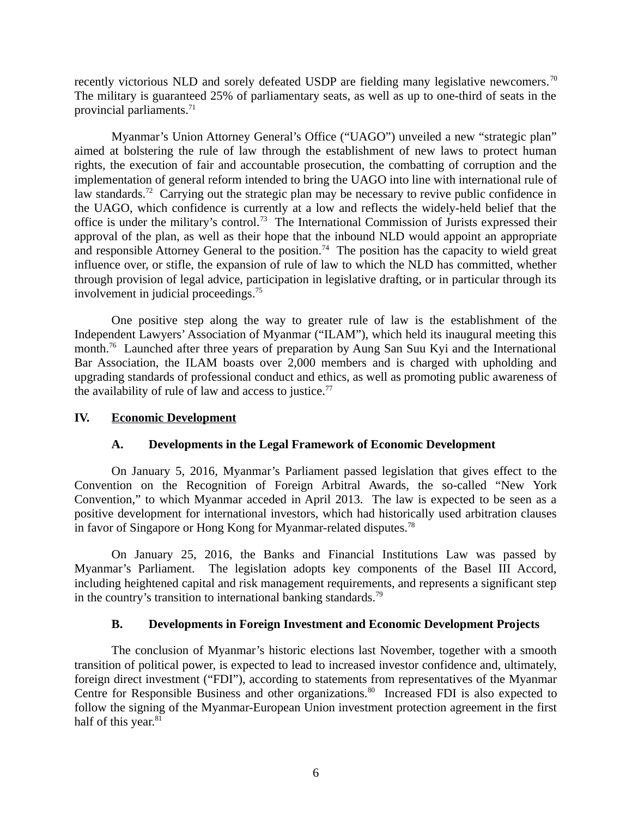recently victorious NLD and sorely defeated USDP are fielding many legislative newcomers.<sup>70</sup> The military is guaranteed 25% of parliamentary seats, as well as up to one-third of seats in the provincial parliaments.<sup>71</sup>

Myanmar's Union Attorney General's Office ("UAGO") unveiled a new "strategic plan" aimed at bolstering the rule of law through the establishment of new laws to protect human rights, the execution of fair and accountable prosecution, the combatting of corruption and the implementation of general reform intended to bring the UAGO into line with international rule of law standards.<sup>72</sup> Carrying out the strategic plan may be necessary to revive public confidence in the UAGO, which confidence is currently at a low and reflects the widely-held belief that the office is under the military's control.<sup>73</sup> The International Commission of Jurists expressed their approval of the plan, as well as their hope that the inbound NLD would appoint an appropriate and responsible Attorney General to the position.<sup>74</sup> The position has the capacity to wield great influence over, or stifle, the expansion of rule of law to which the NLD has committed, whether through provision of legal advice, participation in legislative drafting, or in particular through its involvement in judicial proceedings.<sup>75</sup>

One positive step along the way to greater rule of law is the establishment of the Independent Lawyers' Association of Myanmar ("ILAM"), which held its inaugural meeting this month.<sup>76</sup> Launched after three years of preparation by Aung San Suu Kyi and the International Bar Association, the ILAM boasts over 2,000 members and is charged with upholding and upgrading standards of professional conduct and ethics, as well as promoting public awareness of the availability of rule of law and access to justice. $77$ 

#### **IV. Economic Development**

#### <span id="page-5-2"></span><span id="page-5-1"></span>**A. Developments in the Legal Framework of Economic Development**

On January 5, 2016, Myanmar's Parliament passed legislation that gives effect to the Convention on the Recognition of Foreign Arbitral Awards, the so-called "New York Convention," to which Myanmar acceded in April 2013. The law is expected to be seen as a positive development for international investors, which had historically used arbitration clauses in favor of Singapore or Hong Kong for Myanmar-related disputes.<sup>78</sup>

On January 25, 2016, the Banks and Financial Institutions Law was passed by Myanmar's Parliament. The legislation adopts key components of the Basel III Accord, including heightened capital and risk management requirements, and represents a significant step in the country's transition to international banking standards.<sup>79</sup>

# <span id="page-5-0"></span>**B. Developments in Foreign Investment and Economic Development Projects**

The conclusion of Myanmar's historic elections last November, together with a smooth transition of political power, is expected to lead to increased investor confidence and, ultimately, foreign direct investment ("FDI"), according to statements from representatives of the Myanmar Centre for Responsible Business and other organizations.<sup>80</sup> Increased FDI is also expected to follow the signing of the Myanmar-European Union investment protection agreement in the first half of this year.<sup>81</sup>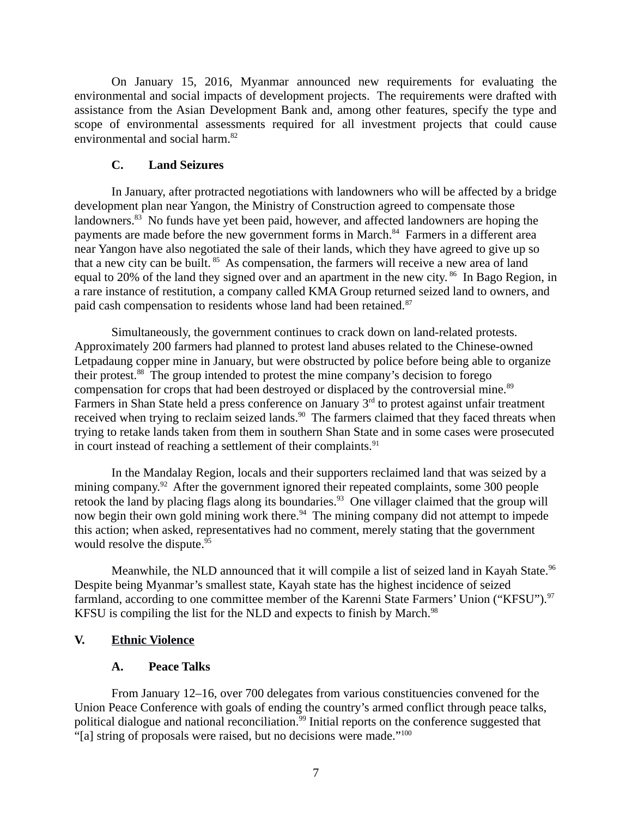On January 15, 2016, Myanmar announced new requirements for evaluating the environmental and social impacts of development projects. The requirements were drafted with assistance from the Asian Development Bank and, among other features, specify the type and scope of environmental assessments required for all investment projects that could cause environmental and social harm.<sup>82</sup>

### <span id="page-6-2"></span>**C. Land Seizures**

In January, after protracted negotiations with landowners who will be affected by a bridge development plan near Yangon, the Ministry of Construction agreed to compensate those landowners.<sup>83</sup> No funds have yet been paid, however, and affected landowners are hoping the payments are made before the new government forms in March.<sup>84</sup> Farmers in a different area near Yangon have also negotiated the sale of their lands, which they have agreed to give up so that a new city can be built. <sup>85</sup> As compensation, the farmers will receive a new area of land equal to 20% of the land they signed over and an apartment in the new city.  $86$  In Bago Region, in a rare instance of restitution, a company called KMA Group returned seized land to owners, and paid cash compensation to residents whose land had been retained.<sup>87</sup>

Simultaneously, the government continues to crack down on land-related protests. Approximately 200 farmers had planned to protest land abuses related to the Chinese-owned Letpadaung copper mine in January, but were obstructed by police before being able to organize their protest.<sup>88</sup> The group intended to protest the mine company's decision to forego compensation for crops that had been destroyed or displaced by the controversial mine.<sup>89</sup> Farmers in Shan State held a press conference on January  $3<sup>rd</sup>$  to protest against unfair treatment received when trying to reclaim seized lands. $90$  The farmers claimed that they faced threats when trying to retake lands taken from them in southern Shan State and in some cases were prosecuted in court instead of reaching a settlement of their complaints. $91$ 

In the Mandalay Region, locals and their supporters reclaimed land that was seized by a mining company.<sup>92</sup> After the government ignored their repeated complaints, some 300 people retook the land by placing flags along its boundaries.<sup>93</sup> One villager claimed that the group will now begin their own gold mining work there.<sup>94</sup> The mining company did not attempt to impede this action; when asked, representatives had no comment, merely stating that the government would resolve the dispute.<sup>95</sup>

Meanwhile, the NLD announced that it will compile a list of seized land in Kayah State.<sup>96</sup> Despite being Myanmar's smallest state, Kayah state has the highest incidence of seized farmland, according to one committee member of the Karenni State Farmers' Union ("KFSU").<sup>97</sup> KFSU is compiling the list for the NLD and expects to finish by March. $98$ 

# **V. Ethnic Violence**

# <span id="page-6-1"></span><span id="page-6-0"></span>**A. Peace Talks**

From January 12–16, over 700 delegates from various constituencies convened for the Union Peace Conference with goals of ending the country's armed conflict through peace talks, political dialogue and national reconciliation.<sup>99</sup> Initial reports on the conference suggested that "[a] string of proposals were raised, but no decisions were made."<sup>100</sup>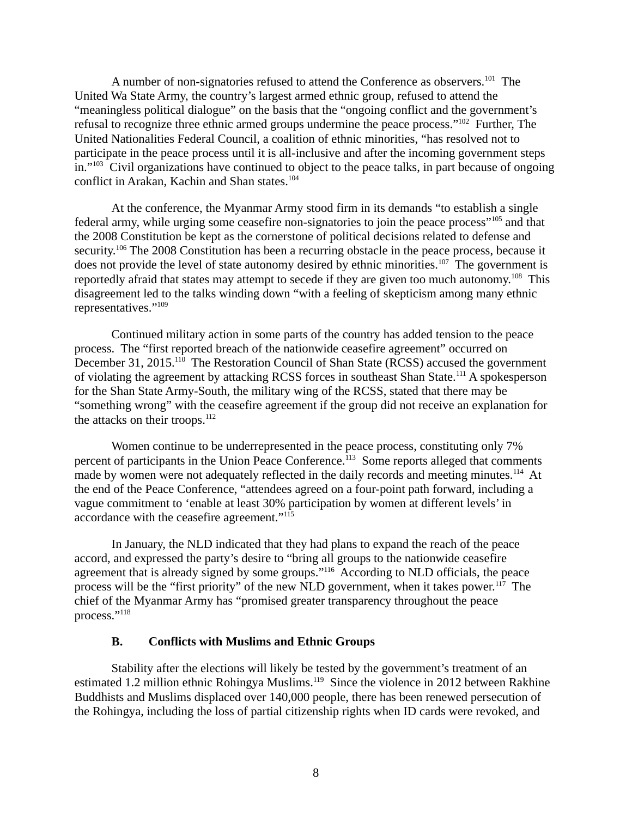A number of non-signatories refused to attend the Conference as observers.<sup>101</sup> The United Wa State Army, the country's largest armed ethnic group, refused to attend the "meaningless political dialogue" on the basis that the "ongoing conflict and the government's refusal to recognize three ethnic armed groups undermine the peace process."<sup>102</sup> Further, The United Nationalities Federal Council, a coalition of ethnic minorities, "has resolved not to participate in the peace process until it is all-inclusive and after the incoming government steps in."<sup>103</sup> Civil organizations have continued to object to the peace talks, in part because of ongoing conflict in Arakan, Kachin and Shan states.<sup>104</sup>

At the conference, the Myanmar Army stood firm in its demands "to establish a single federal army, while urging some ceasefire non-signatories to join the peace process"<sup>105</sup> and that the 2008 Constitution be kept as the cornerstone of political decisions related to defense and security.<sup>106</sup> The 2008 Constitution has been a recurring obstacle in the peace process, because it does not provide the level of state autonomy desired by ethnic minorities.<sup>107</sup> The government is reportedly afraid that states may attempt to secede if they are given too much autonomy.<sup>108</sup> This disagreement led to the talks winding down "with a feeling of skepticism among many ethnic representatives."<sup>109</sup>

Continued military action in some parts of the country has added tension to the peace process. The "first reported breach of the nationwide ceasefire agreement" occurred on December 31, 2015.<sup>110</sup> The Restoration Council of Shan State (RCSS) accused the government of violating the agreement by attacking RCSS forces in southeast Shan State.<sup>111</sup> A spokesperson for the Shan State Army-South, the military wing of the RCSS, stated that there may be "something wrong" with the ceasefire agreement if the group did not receive an explanation for the attacks on their troops.<sup>112</sup>

Women continue to be underrepresented in the peace process, constituting only 7% percent of participants in the Union Peace Conference.<sup>113</sup> Some reports alleged that comments made by women were not adequately reflected in the daily records and meeting minutes.<sup>114</sup> At the end of the Peace Conference, "attendees agreed on a four-point path forward, including a vague commitment to 'enable at least 30% participation by women at different levels' in accordance with the ceasefire agreement."<sup>115</sup>

In January, the NLD indicated that they had plans to expand the reach of the peace accord, and expressed the party's desire to "bring all groups to the nationwide ceasefire agreement that is already signed by some groups."<sup>116</sup> According to NLD officials, the peace process will be the "first priority" of the new NLD government, when it takes power. $117$  The chief of the Myanmar Army has "promised greater transparency throughout the peace process."<sup>118</sup>

#### <span id="page-7-0"></span>**B. Conflicts with Muslims and Ethnic Groups**

Stability after the elections will likely be tested by the government's treatment of an estimated 1.2 million ethnic Rohingya Muslims.<sup>119</sup> Since the violence in 2012 between Rakhine Buddhists and Muslims displaced over 140,000 people, there has been renewed persecution of the Rohingya, including the loss of partial citizenship rights when ID cards were revoked, and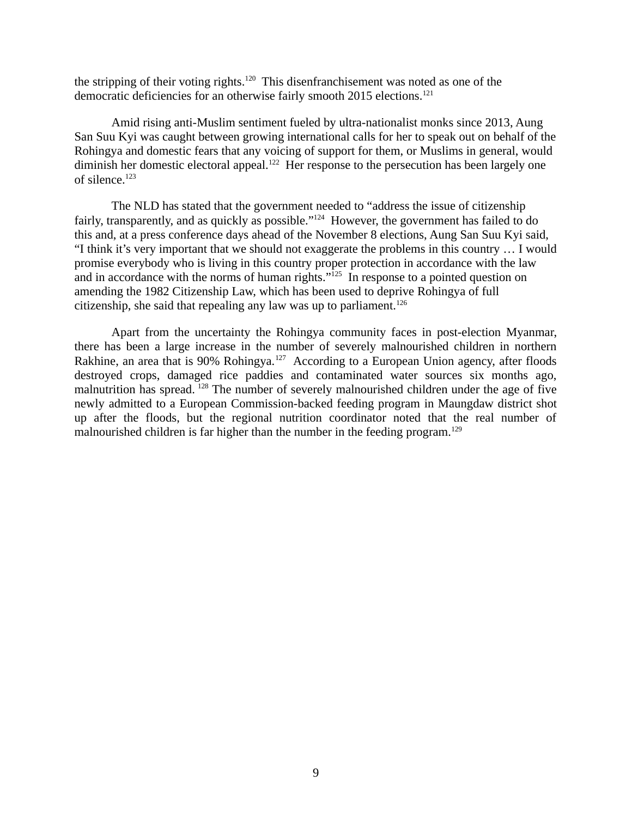the stripping of their voting rights.<sup>120</sup> This disenfranchisement was noted as one of the democratic deficiencies for an otherwise fairly smooth 2015 elections.<sup>121</sup>

Amid rising anti-Muslim sentiment fueled by ultra-nationalist monks since 2013, Aung San Suu Kyi was caught between growing international calls for her to speak out on behalf of the Rohingya and domestic fears that any voicing of support for them, or Muslims in general, would diminish her domestic electoral appeal.<sup>122</sup> Her response to the persecution has been largely one of silence.<sup>123</sup>

The NLD has stated that the government needed to "address the issue of citizenship fairly, transparently, and as quickly as possible."<sup>124</sup> However, the government has failed to do this and, at a press conference days ahead of the November 8 elections, Aung San Suu Kyi said, "I think it's very important that we should not exaggerate the problems in this country … I would promise everybody who is living in this country proper protection in accordance with the law and in accordance with the norms of human rights."<sup>125</sup> In response to a pointed question on amending the 1982 Citizenship Law, which has been used to deprive Rohingya of full citizenship, she said that repealing any law was up to parliament.<sup>126</sup>

Apart from the uncertainty the Rohingya community faces in post-election Myanmar, there has been a large increase in the number of severely malnourished children in northern Rakhine, an area that is 90% Rohingya.<sup>127</sup> According to a European Union agency, after floods destroyed crops, damaged rice paddies and contaminated water sources six months ago, malnutrition has spread. <sup>128</sup> The number of severely malnourished children under the age of five newly admitted to a European Commission-backed feeding program in Maungdaw district shot up after the floods, but the regional nutrition coordinator noted that the real number of malnourished children is far higher than the number in the feeding program.<sup>129</sup>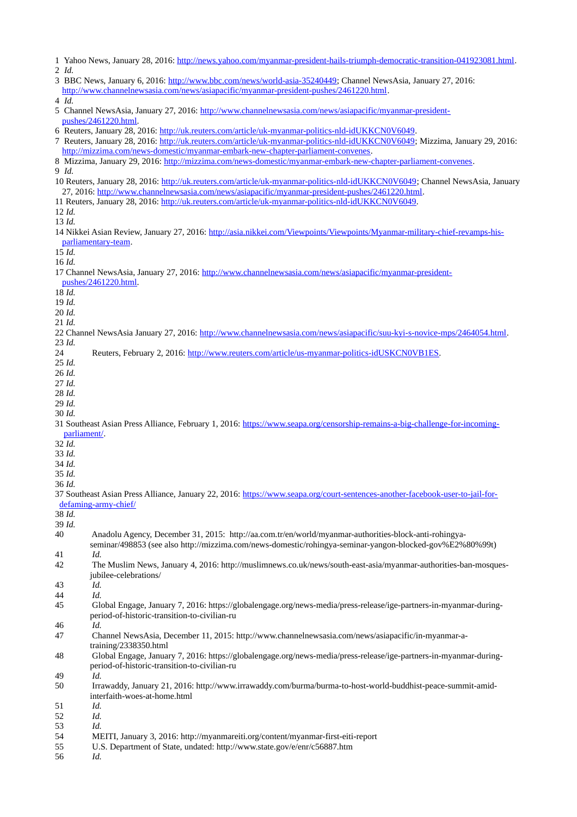|                                                                                                    | 1 Yahoo News, January 28, 2016: http://news.yahoo.com/myanmar-president-hails-triumph-democratic-transition-041923081.html.   |  |  |
|----------------------------------------------------------------------------------------------------|-------------------------------------------------------------------------------------------------------------------------------|--|--|
|                                                                                                    | 2 Id.                                                                                                                         |  |  |
|                                                                                                    | 3 BBC News, January 6, 2016: http://www.bbc.com/news/world-asia-35240449; Channel NewsAsia, January 27, 2016:                 |  |  |
|                                                                                                    | http://www.channelnewsasia.com/news/asiapacific/myanmar-president-pushes/2461220.html.                                        |  |  |
| 4 Id.                                                                                              |                                                                                                                               |  |  |
|                                                                                                    | 5 Channel NewsAsia, January 27, 2016: http://www.channelnewsasia.com/news/asiapacific/myanmar-president-                      |  |  |
|                                                                                                    | pushes/2461220.html.                                                                                                          |  |  |
|                                                                                                    | 6 Reuters, January 28, 2016: http://uk.reuters.com/article/uk-myanmar-politics-nld-idUKKCN0V6049.                             |  |  |
|                                                                                                    | 7 Reuters, January 28, 2016: http://uk.reuters.com/article/uk-myanmar-politics-nld-idUKKCN0V6049; Mizzima, January 29, 2016:  |  |  |
|                                                                                                    | http://mizzima.com/news-domestic/myanmar-embark-new-chapter-parliament-convenes.                                              |  |  |
|                                                                                                    | 8 Mizzima, January 29, 2016: http://mizzima.com/news-domestic/myanmar-embark-new-chapter-parliament-convenes.                 |  |  |
| 9 Id.                                                                                              |                                                                                                                               |  |  |
|                                                                                                    | 10 Reuters, January 28, 2016: http://uk.reuters.com/article/uk-myanmar-politics-nld-idUKKCN0V6049; Channel NewsAsia, January  |  |  |
|                                                                                                    | 27, 2016: http://www.channelnewsasia.com/news/asiapacific/myanmar-president-pushes/2461220.html.                              |  |  |
| 11 Reuters, January 28, 2016: http://uk.reuters.com/article/uk-myanmar-politics-nld-idUKKCN0V6049. |                                                                                                                               |  |  |
| 12 Id.                                                                                             |                                                                                                                               |  |  |
| 13 Id.                                                                                             |                                                                                                                               |  |  |
|                                                                                                    | 14 Nikkei Asian Review, January 27, 2016: http://asia.nikkei.com/Viewpoints/Viewpoints/Myanmar-military-chief-revamps-his-    |  |  |
| parliamentary-team.                                                                                |                                                                                                                               |  |  |
| 15 Id.                                                                                             |                                                                                                                               |  |  |
| 16 Id.                                                                                             |                                                                                                                               |  |  |
|                                                                                                    | 17 Channel NewsAsia, January 27, 2016: http://www.channelnewsasia.com/news/asiapacific/myanmar-president-                     |  |  |
|                                                                                                    | pushes/2461220.html.                                                                                                          |  |  |
| 18 Id.                                                                                             |                                                                                                                               |  |  |
| 19 Id.                                                                                             |                                                                                                                               |  |  |
| 20 Id.                                                                                             |                                                                                                                               |  |  |
| 21 Id.                                                                                             |                                                                                                                               |  |  |
|                                                                                                    | 22 Channel NewsAsia January 27, 2016: http://www.channelnewsasia.com/news/asiapacific/suu-kyi-s-novice-mps/2464054.html.      |  |  |
| 23 Id.                                                                                             |                                                                                                                               |  |  |
| 24                                                                                                 | Reuters, February 2, 2016: http://www.reuters.com/article/us-myanmar-politics-idUSKCN0VB1ES.                                  |  |  |
| 25 Id.                                                                                             |                                                                                                                               |  |  |
| 26 Id.                                                                                             |                                                                                                                               |  |  |
| 27 Id.                                                                                             |                                                                                                                               |  |  |
| 28 Id.                                                                                             |                                                                                                                               |  |  |
|                                                                                                    |                                                                                                                               |  |  |
| 29 Id.                                                                                             |                                                                                                                               |  |  |
| 30 Id.                                                                                             |                                                                                                                               |  |  |
|                                                                                                    | 31 Southeast Asian Press Alliance, February 1, 2016: https://www.seapa.org/censorship-remains-a-big-challenge-for-incoming-   |  |  |
| parliament/.                                                                                       |                                                                                                                               |  |  |
| 32 Id.                                                                                             |                                                                                                                               |  |  |
| 33 Id.                                                                                             |                                                                                                                               |  |  |
| 34 Id.                                                                                             |                                                                                                                               |  |  |
| 35 Id.                                                                                             |                                                                                                                               |  |  |
|                                                                                                    |                                                                                                                               |  |  |
| 36 Id.                                                                                             |                                                                                                                               |  |  |
|                                                                                                    | 37 Southeast Asian Press Alliance, January 22, 2016: https://www.seapa.org/court-sentences-another-facebook-user-to-jail-for- |  |  |
|                                                                                                    | defaming-army-chief/                                                                                                          |  |  |
| 38 Id.                                                                                             |                                                                                                                               |  |  |
| 39 Id.                                                                                             |                                                                                                                               |  |  |
| 40                                                                                                 | Anadolu Agency, December 31, 2015: http://aa.com.tr/en/world/myanmar-authorities-block-anti-rohingya-                         |  |  |
|                                                                                                    | seminar/498853 (see also http://mizzima.com/news-domestic/rohingya-seminar-yangon-blocked-gov%E2%80%99t)                      |  |  |
| 41                                                                                                 | Id.                                                                                                                           |  |  |
| 42                                                                                                 | The Muslim News, January 4, 2016: http://muslimnews.co.uk/news/south-east-asia/myanmar-authorities-ban-mosques-               |  |  |
|                                                                                                    | jubilee-celebrations/                                                                                                         |  |  |
| 43                                                                                                 | Id.                                                                                                                           |  |  |
| 44                                                                                                 | Id.                                                                                                                           |  |  |
| 45                                                                                                 | Global Engage, January 7, 2016: https://globalengage.org/news-media/press-release/ige-partners-in-myanmar-during-             |  |  |
|                                                                                                    | period-of-historic-transition-to-civilian-ru                                                                                  |  |  |
| 46                                                                                                 | Id.                                                                                                                           |  |  |
| 47                                                                                                 | Channel NewsAsia, December 11, 2015: http://www.channelnewsasia.com/news/asiapacific/in-myanmar-a-                            |  |  |
|                                                                                                    | training/2338350.html                                                                                                         |  |  |
| 48                                                                                                 | Global Engage, January 7, 2016: https://globalengage.org/news-media/press-release/ige-partners-in-myanmar-during-             |  |  |
|                                                                                                    | period-of-historic-transition-to-civilian-ru                                                                                  |  |  |
| 49                                                                                                 | Id.                                                                                                                           |  |  |
| 50                                                                                                 | Irrawaddy, January 21, 2016: http://www.irrawaddy.com/burma/burma-to-host-world-buddhist-peace-summit-amid-                   |  |  |
|                                                                                                    | interfaith-woes-at-home.html                                                                                                  |  |  |
| 51                                                                                                 | Id.                                                                                                                           |  |  |
| 52                                                                                                 | Id.                                                                                                                           |  |  |
| 53                                                                                                 | Id.                                                                                                                           |  |  |
| 54                                                                                                 | MEITI, January 3, 2016: http://myanmareiti.org/content/myanmar-first-eiti-report                                              |  |  |
| 55                                                                                                 | U.S. Department of State, undated: http://www.state.gov/e/enr/c56887.htm                                                      |  |  |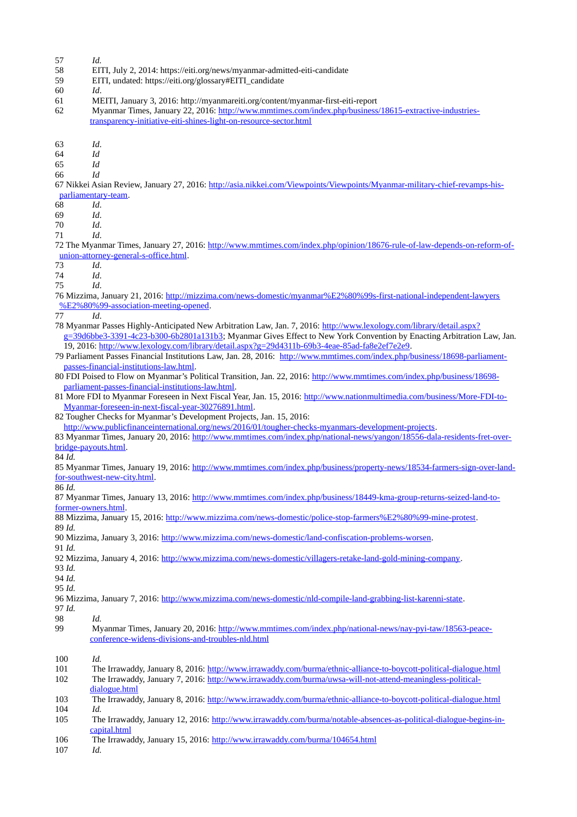- 57 *Id.*
- 58 EITI, July 2, 2014: https://eiti.org/news/myanmar-admitted-eiti-candidate
- 59 EITI, undated: https://eiti.org/glossary#EITI\_candidate
- 60 *Id*.
- 61 MEITI, January 3, 2016: http://myanmareiti.org/content/myanmar-first-eiti-report

62 Myanmar Times, January 22, 2016: [http://www.mmtimes.com/index.php/business/18615-extractive-industries](http://www.mmtimes.com/index.php/business/18615-extractive-industries-transparency-initiative-eiti-shines-light-on-resource-sector.html)[transparency-initiative-eiti-shines-light-on-resource-sector.html](http://www.mmtimes.com/index.php/business/18615-extractive-industries-transparency-initiative-eiti-shines-light-on-resource-sector.html)

63 *Id*.

64 *Id*

65 *Id*

66 *Id*

67 Nikkei Asian Review, January 27, 2016: [http://asia.nikkei.com/Viewpoints/Viewpoints/Myanmar-military-chief-revamps-his](http://asia.nikkei.com/Viewpoints/Viewpoints/Myanmar-military-chief-revamps-his-parliamentary-team)[parliamentary-team.](http://asia.nikkei.com/Viewpoints/Viewpoints/Myanmar-military-chief-revamps-his-parliamentary-team)

68 *Id*.

69 *Id*.

70 *Id*.

71 *Id*.

72 The Myanmar Times, January 27, 2016: [http://www.mmtimes.com/index.php/opinion/18676-rule-of-law-depends-on-reform-of](http://www.mmtimes.com/index.php/opinion/18676-rule-of-law-depends-on-reform-of-union-attorney-general-s-office.html)[union-attorney-general-s-office.html.](http://www.mmtimes.com/index.php/opinion/18676-rule-of-law-depends-on-reform-of-union-attorney-general-s-office.html)

73 *Id*.

74 *Id*.

75 *Id*.

76 Mizzima, January 21, 2016: [http://mizzima.com/news-domestic/myanmar%E2%80%99s-first-national-independent-lawyers](http://mizzima.com/news-domestic/myanmar%E2%80%99s-first-national-independent-lawyers%E2%80%99-association-meeting-opened) [%E2%80%99-association-meeting-opened.](http://mizzima.com/news-domestic/myanmar%E2%80%99s-first-national-independent-lawyers%E2%80%99-association-meeting-opened)

77 *Id*.

- 78 Myanmar Passes Highly-Anticipated New Arbitration Law, Jan. 7, 2016: [http://www.lexology.com/library/detail.aspx?](http://www.lexology.com/library/detail.aspx?g=39d6bbe3-3391-4c23-b300-6b2801a131b3) [g=39d6bbe3-3391-4c23-b300-6b2801a131b3;](http://www.lexology.com/library/detail.aspx?g=39d6bbe3-3391-4c23-b300-6b2801a131b3) Myanmar Gives Effect to New York Convention by Enacting Arbitration Law, Jan. 19, 2016: [http://www.lexology.com/library/detail.aspx?g=29d4311b-69b3-4eae-85ad-fa8e2ef7e2e9.](http://www.lexology.com/library/detail.aspx?g=29d4311b-69b3-4eae-85ad-fa8e2ef7e2e9)
- 79 Parliament Passes Financial Institutions Law, Jan. 28, 2016: [http://www.mmtimes.com/index.php/business/18698-parliament](http://www.mmtimes.com/index.php/business/18698-parliament-passes-financial-institutions-law.html)[passes-financial-institutions-law.html.](http://www.mmtimes.com/index.php/business/18698-parliament-passes-financial-institutions-law.html)
- 80 FDI Poised to Flow on Myanmar's Political Transition, Jan. 22, 2016: [http://www.mmtimes.com/index.php/business/18698](http://www.mmtimes.com/index.php/business/18698-parliament-passes-financial-institutions-law.html) [parliament-passes-financial-institutions-law.html.](http://www.mmtimes.com/index.php/business/18698-parliament-passes-financial-institutions-law.html)
- 81 More FDI to Myanmar Foreseen in Next Fiscal Year, Jan. 15, 2016: [http://www.nationmultimedia.com/business/More-FDI-to-](http://www.nationmultimedia.com/business/More-FDI-to-Myanmar-foreseen-in-next-fiscal-year-30276891.html)[Myanmar-foreseen-in-next-fiscal-year-30276891.html.](http://www.nationmultimedia.com/business/More-FDI-to-Myanmar-foreseen-in-next-fiscal-year-30276891.html)

82 Tougher Checks for Myanmar's Development Projects, Jan. 15, 2016:

[http://www.publicfinanceinternational.org/news/2016/01/tougher-checks-myanmars-development-projects.](http://www.publicfinanceinternational.org/news/2016/01/tougher-checks-myanmars-development-projects)

83 Myanmar Times, January 20, 2016: [http://www.mmtimes.com/index.php/national-news/yangon/18556-dala-residents-fret-over](http://www.mmtimes.com/index.php/national-news/yangon/18556-dala-residents-fret-over-bridge-payouts.html)[bridge-payouts.html.](http://www.mmtimes.com/index.php/national-news/yangon/18556-dala-residents-fret-over-bridge-payouts.html)

84 *Id.*

85 Myanmar Times, January 19, 2016: [http://www.mmtimes.com/index.php/business/property-news/18534-farmers-sign-over-land](http://www.mmtimes.com/index.php/business/property-news/18534-farmers-sign-over-land-for-southwest-new-city.html)[for-southwest-new-city.html.](http://www.mmtimes.com/index.php/business/property-news/18534-farmers-sign-over-land-for-southwest-new-city.html)

86 *Id.*

87 Myanmar Times, January 13, 2016: [http://www.mmtimes.com/index.php/business/18449-kma-group-returns-seized-land-to](http://www.mmtimes.com/index.php/business/18449-kma-group-returns-seized-land-to-former-owners.html)[former-owners.html.](http://www.mmtimes.com/index.php/business/18449-kma-group-returns-seized-land-to-former-owners.html)

88 Mizzima, January 15, 2016: [http://www.mizzima.com/news-domestic/police-stop-farmers%E2%80%99-mine-protest.](http://www.mizzima.com/news-domestic/police-stop-farmers%E2%80%99-mine-protest) 89 *Id.*

90 Mizzima, January 3, 2016: [http://www.mizzima.com/news-domestic/land-confiscation-problems-worsen.](http://www.mizzima.com/news-domestic/land-confiscation-problems-worsen)

91 *Id.*

| 92 Mizzima, January 4, 2016: http://www.mizzima.com/news-domestic/villagers-retake-land-gold-mining-company. |  |
|--------------------------------------------------------------------------------------------------------------|--|
| 93 Id                                                                                                        |  |

94 *Id.*

95 *Id.*

96 Mizzima, January 7, 2016: [http://www.mizzima.com/news-domestic/nld-compile-land-grabbing-list-karenni-state.](http://www.mizzima.com/news-domestic/nld-compile-land-grabbing-list-karenni-state)

97 *Id.*

- 98 *Id.*
- 99 Myanmar Times, January 20, 2016: [http://www.mmtimes.com/index.php/national-news/nay-pyi-taw/18563-peace](http://www.mmtimes.com/index.php/national-news/nay-pyi-taw/18563-peace-conference-widens-divisions-and-troubles-nld.html)[conference-widens-divisions-and-troubles-nld.html](http://www.mmtimes.com/index.php/national-news/nay-pyi-taw/18563-peace-conference-widens-divisions-and-troubles-nld.html)

101 The Irrawaddy, January 8, 2016:<http://www.irrawaddy.com/burma/ethnic-alliance-to-boycott-political-dialogue.html> 102 The Irrawaddy, January 7, 2016: [http://www.irrawaddy.com/burma/uwsa-will-not-attend-meaningless-political-](http://www.irrawaddy.com/burma/uwsa-will-not-attend-meaningless-political-dialogue.html)

[dialogue.html](http://www.irrawaddy.com/burma/uwsa-will-not-attend-meaningless-political-dialogue.html)

103 The Irrawaddy, January 8, 2016:<http://www.irrawaddy.com/burma/ethnic-alliance-to-boycott-political-dialogue.html> 104 *Id.*

105 The Irrawaddy, January 12, 2016: [http://www.irrawaddy.com/burma/notable-absences-as-political-dialogue-begins-in](http://www.irrawaddy.com/burma/notable-absences-as-political-dialogue-begins-in-capital.html)[capital.html](http://www.irrawaddy.com/burma/notable-absences-as-political-dialogue-begins-in-capital.html)

106 The Irrawaddy, January 15, 2016:<http://www.irrawaddy.com/burma/104654.html>

107 *Id.*

<sup>100</sup> *Id.*